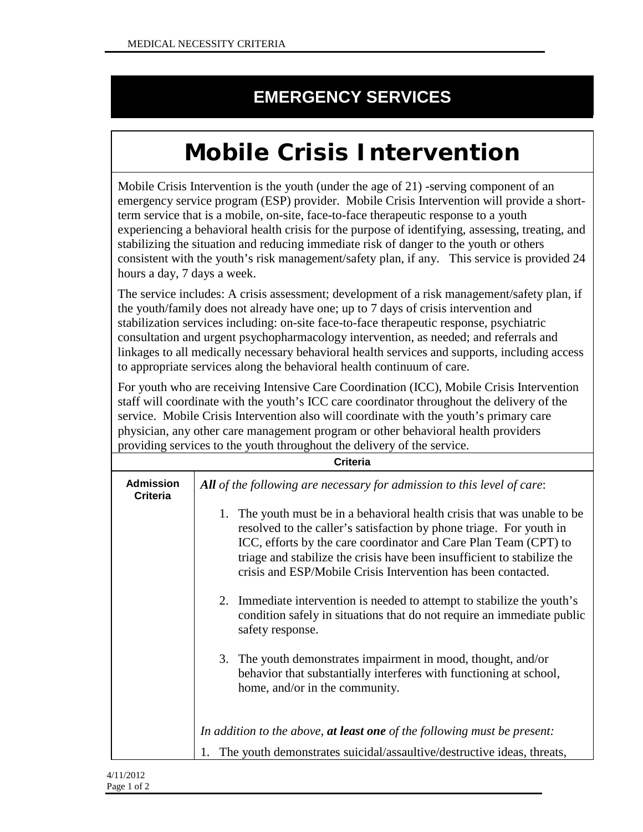## **EMERGENCY SERVICES**

## **Mobile Crisis Intervention**

Mobile Crisis Intervention is the youth (under the age of 21) -serving component of an emergency service program (ESP) provider. Mobile Crisis Intervention will provide a shortterm service that is a mobile, on-site, face-to-face therapeutic response to a youth experiencing a behavioral health crisis for the purpose of identifying, assessing, treating, and stabilizing the situation and reducing immediate risk of danger to the youth or others consistent with the youth's risk management/safety plan, if any. This service is provided 24 hours a day, 7 days a week.

The service includes: A crisis assessment; development of a risk management/safety plan, if the youth/family does not already have one; up to 7 days of crisis intervention and stabilization services including: on-site face-to-face therapeutic response, psychiatric consultation and urgent psychopharmacology intervention, as needed; and referrals and linkages to all medically necessary behavioral health services and supports, including access to appropriate services along the behavioral health continuum of care.

For youth who are receiving Intensive Care Coordination (ICC), Mobile Crisis Intervention staff will coordinate with the youth's ICC care coordinator throughout the delivery of the service. Mobile Crisis Intervention also will coordinate with the youth's primary care physician, any other care management program or other behavioral health providers providing services to the youth throughout the delivery of the service.

| <b>Criteria</b>                     |                                                                                                                                                                                                                                                                                                                                                                    |  |
|-------------------------------------|--------------------------------------------------------------------------------------------------------------------------------------------------------------------------------------------------------------------------------------------------------------------------------------------------------------------------------------------------------------------|--|
| <b>Admission</b><br><b>Criteria</b> | All of the following are necessary for admission to this level of care:                                                                                                                                                                                                                                                                                            |  |
|                                     | The youth must be in a behavioral health crisis that was unable to be<br>1.<br>resolved to the caller's satisfaction by phone triage. For youth in<br>ICC, efforts by the care coordinator and Care Plan Team (CPT) to<br>triage and stabilize the crisis have been insufficient to stabilize the<br>crisis and ESP/Mobile Crisis Intervention has been contacted. |  |
|                                     | 2. Immediate intervention is needed to attempt to stabilize the youth's<br>condition safely in situations that do not require an immediate public<br>safety response.                                                                                                                                                                                              |  |
|                                     | 3. The youth demonstrates impairment in mood, thought, and/or<br>behavior that substantially interferes with functioning at school,<br>home, and/or in the community.                                                                                                                                                                                              |  |
|                                     | In addition to the above, at least one of the following must be present:                                                                                                                                                                                                                                                                                           |  |
|                                     | The youth demonstrates suicidal/assaultive/destructive ideas, threats,                                                                                                                                                                                                                                                                                             |  |